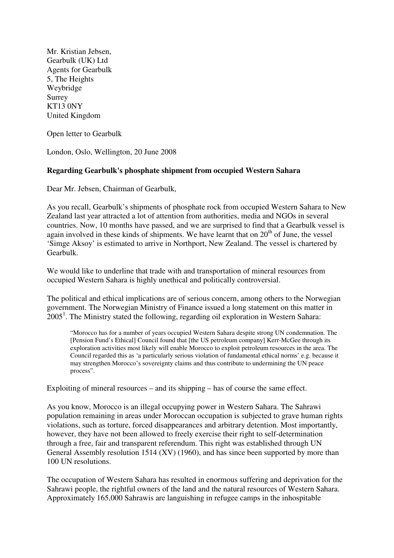Mr. Kristian Jebsen, Gearbulk (UK) Ltd Agents for Gearbulk 5, The Heights Weybridge Surrey KT13 0NY United Kingdom

Open letter to Gearbulk

London, Oslo, Wellington, 20 June 2008

## **Regarding Gearbulk's phosphate shipment from occupied Western Sahara**

Dear Mr. Jebsen, Chairman of Gearbulk,

As you recall, Gearbulk's shipments of phosphate rock from occupied Western Sahara to New Zealand last year attracted a lot of attention from authorities, media and NGOs in several countries. Now, 10 months have passed, and we are surprised to find that a Gearbulk vessel is again involved in these kinds of shipments. We have learnt that on  $20<sup>th</sup>$  of June, the vessel 'Simge Aksoy' is estimated to arrive in Northport, New Zealand. The vessel is chartered by Gearbulk.

We would like to underline that trade with and transportation of mineral resources from occupied Western Sahara is highly unethical and politically controversial.

The political and ethical implications are of serious concern, among others to the Norwegian government. The Norwegian Ministry of Finance issued a long statement on this matter in 2005<sup>1</sup>. The Ministry stated the following, regarding oil exploration in Western Sahara:

"Morocco has for a number of years occupied Western Sahara despite strong UN condemnation. The [Pension Fund's Ethical] Council found that [the US petroleum company] Kerr-McGee through its exploration activities most likely will enable Morocco to exploit petroleum resources in the area. The Council regarded this as 'a particularly serious violation of fundamental ethical norms' e.g. because it may strengthen Morocco's sovereignty claims and thus contribute to undermining the UN peace process".

Exploiting of mineral resources – and its shipping – has of course the same effect.

As you know, Morocco is an illegal occupying power in Western Sahara. The Sahrawi population remaining in areas under Moroccan occupation is subjected to grave human rights violations, such as torture, forced disappearances and arbitrary detention. Most importantly, however, they have not been allowed to freely exercise their right to self-determination through a free, fair and transparent referendum. This right was established through UN General Assembly resolution 1514 (XV) (1960), and has since been supported by more than 100 UN resolutions.

The occupation of Western Sahara has resulted in enormous suffering and deprivation for the Sahrawi people, the rightful owners of the land and the natural resources of Western Sahara. Approximately 165,000 Sahrawis are languishing in refugee camps in the inhospitable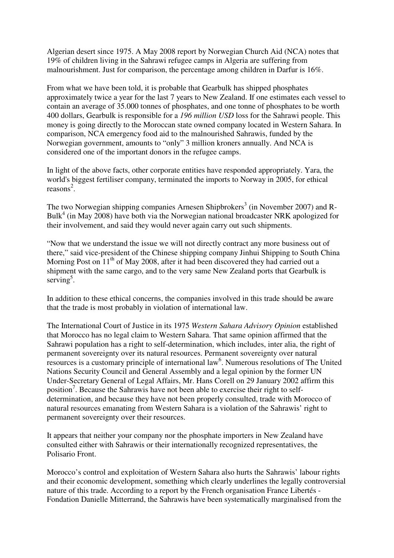Algerian desert since 1975. A May 2008 report by Norwegian Church Aid (NCA) notes that 19% of children living in the Sahrawi refugee camps in Algeria are suffering from malnourishment. Just for comparison, the percentage among children in Darfur is 16%.

From what we have been told, it is probable that Gearbulk has shipped phosphates approximately twice a year for the last 7 years to New Zealand. If one estimates each vessel to contain an average of 35.000 tonnes of phosphates, and one tonne of phosphates to be worth 400 dollars, Gearbulk is responsible for a *196 million USD* loss for the Sahrawi people. This money is going directly to the Moroccan state owned company located in Western Sahara. In comparison, NCA emergency food aid to the malnourished Sahrawis, funded by the Norwegian government, amounts to "only" 3 million kroners annually. And NCA is considered one of the important donors in the refugee camps.

In light of the above facts, other corporate entities have responded appropriately. Yara, the world's biggest fertiliser company, terminated the imports to Norway in 2005, for ethical reasons 2 .

The two Norwegian shipping companies Arnesen Shipbrokers<sup>3</sup> (in November 2007) and R-Bulk<sup>4</sup> (in May 2008) have both via the Norwegian national broadcaster NRK apologized for their involvement, and said they would never again carry out such shipments.

"Now that we understand the issue we will not directly contract any more business out of there," said vice-president of the Chinese shipping company Jinhui Shipping to South China Morning Post on 11<sup>th</sup> of May 2008, after it had been discovered they had carried out a shipment with the same cargo, and to the very same New Zealand ports that Gearbulk is  $serving<sup>5</sup>$ .

In addition to these ethical concerns, the companies involved in this trade should be aware that the trade is most probably in violation of international law.

The International Court of Justice in its 1975 *Western Sahara Advisory Opinion* established that Morocco has no legal claim to Western Sahara. That same opinion affirmed that the Sahrawi population has a right to self-determination, which includes, inter alia, the right of permanent sovereignty over its natural resources. Permanent sovereignty over natural resources is a customary principle of international law<sup>6</sup>. Numerous resolutions of The United Nations Security Council and General Assembly and a legal opinion by the former UN Under-Secretary General of Legal Affairs, Mr. Hans Corell on 29 January 2002 affirm this position<sup>7</sup>. Because the Sahrawis have not been able to exercise their right to selfdetermination, and because they have not been properly consulted, trade with Morocco of natural resources emanating from Western Sahara is a violation of the Sahrawis' right to permanent sovereignty over their resources.

It appears that neither your company nor the phosphate importers in New Zealand have consulted either with Sahrawis or their internationally recognized representatives, the Polisario Front.

Morocco's control and exploitation of Western Sahara also hurts the Sahrawis' labour rights and their economic development, something which clearly underlines the legally controversial nature of this trade. According to a report by the French organisation France Libertés - Fondation Danielle Mitterrand, the Sahrawis have been systematically marginalised from the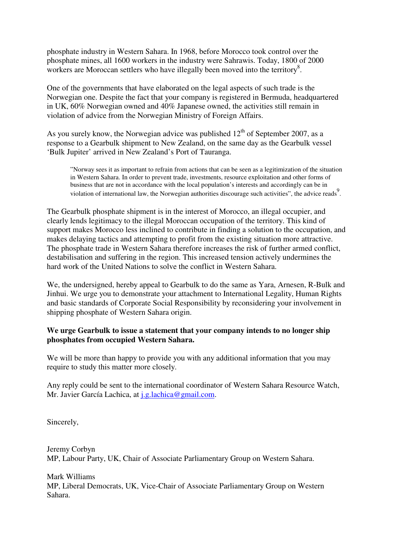phosphate industry in Western Sahara. In 1968, before Morocco took control over the phosphate mines, all 1600 workers in the industry were Sahrawis. Today, 1800 of 2000 workers are Moroccan settlers who have illegally been moved into the territory $8$ .

One of the governments that have elaborated on the legal aspects of such trade is the Norwegian one. Despite the fact that your company is registered in Bermuda, headquartered in UK, 60% Norwegian owned and 40% Japanese owned, the activities still remain in violation of advice from the Norwegian Ministry of Foreign Affairs.

As you surely know, the Norwegian advice was published  $12<sup>th</sup>$  of September 2007, as a response to a Gearbulk shipment to New Zealand, on the same day as the Gearbulk vessel 'Bulk Jupiter' arrived in New Zealand's Port of Tauranga.

"Norway sees it as important to refrain from actions that can be seen as a legitimization of the situation in Western Sahara. In order to prevent trade, investments, resource exploitation and other forms of business that are not in accordance with the local population's interests and accordingly can be in violation of international law, the Norwegian authorities discourage such activities", the advice reads<sup>9</sup>.

The Gearbulk phosphate shipment is in the interest of Morocco, an illegal occupier, and clearly lends legitimacy to the illegal Moroccan occupation of the territory. This kind of support makes Morocco less inclined to contribute in finding a solution to the occupation, and makes delaying tactics and attempting to profit from the existing situation more attractive. The phosphate trade in Western Sahara therefore increases the risk of further armed conflict, destabilisation and suffering in the region. This increased tension actively undermines the hard work of the United Nations to solve the conflict in Western Sahara.

We, the undersigned, hereby appeal to Gearbulk to do the same as Yara, Arnesen, R-Bulk and Jinhui. We urge you to demonstrate your attachment to International Legality, Human Rights and basic standards of Corporate Social Responsibility by reconsidering your involvement in shipping phosphate of Western Sahara origin.

## **We urge Gearbulk to issue a statement that your company intends to no longer ship phosphates from occupied Western Sahara.**

We will be more than happy to provide you with any additional information that you may require to study this matter more closely.

Any reply could be sent to the international coordinator of Western Sahara Resource Watch, Mr. Javier García Lachica, at j.g.lachica@gmail.com.

Sincerely,

Jeremy Corbyn MP, Labour Party, UK, Chair of Associate Parliamentary Group on Western Sahara.

Mark Williams MP, Liberal Democrats, UK, Vice-Chair of Associate Parliamentary Group on Western Sahara.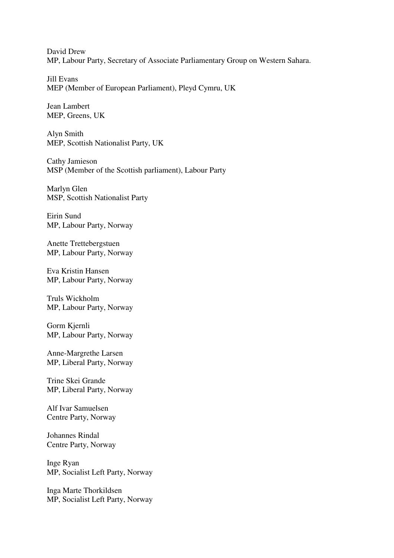David Drew MP, Labour Party, Secretary of Associate Parliamentary Group on Western Sahara.

Jill Evans MEP (Member of European Parliament), Pleyd Cymru, UK

Jean Lambert MEP, Greens, UK

Alyn Smith MEP, Scottish Nationalist Party, UK

Cathy Jamieson MSP (Member of the Scottish parliament), Labour Party

Marlyn Glen MSP, Scottish Nationalist Party

Eirin Sund MP, Labour Party, Norway

Anette Trettebergstuen MP, Labour Party, Norway

Eva Kristin Hansen MP, Labour Party, Norway

Truls Wickholm MP, Labour Party, Norway

Gorm Kjernli MP, Labour Party, Norway

Anne-Margrethe Larsen MP, Liberal Party, Norway

Trine Skei Grande MP, Liberal Party, Norway

Alf Ivar Samuelsen Centre Party, Norway

Johannes Rindal Centre Party, Norway

Inge Ryan MP, Socialist Left Party, Norway

Inga Marte Thorkildsen MP, Socialist Left Party, Norway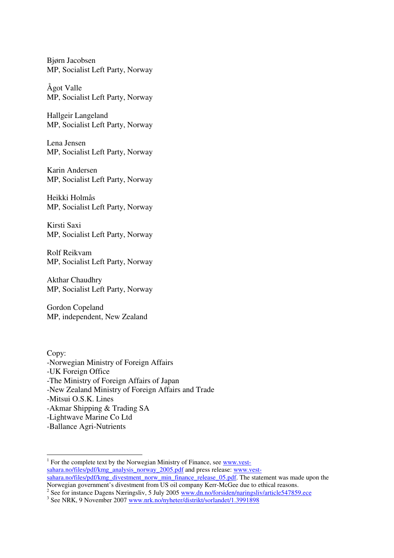Bjørn Jacobsen MP, Socialist Left Party, Norway

Ågot Valle MP, Socialist Left Party, Norway

Hallgeir Langeland MP, Socialist Left Party, Norway

Lena Jensen MP, Socialist Left Party, Norway

Karin Andersen MP, Socialist Left Party, Norway

Heikki Holmås MP, Socialist Left Party, Norway

Kirsti Saxi MP, Socialist Left Party, Norway

Rolf Reikvam MP, Socialist Left Party, Norway

Akthar Chaudhry MP, Socialist Left Party, Norway

Gordon Copeland MP, independent, New Zealand

Copy: -Norwegian Ministry of Foreign Affairs -UK Foreign Office -The Ministry of Foreign Affairs of Japan -New Zealand Ministry of Foreign Affairs and Trade -Mitsui O.S.K. Lines -Akmar Shipping & Trading SA -Lightwave Marine Co Ltd

-Ballance Agri-Nutrients

 $\overline{a}$ 

<sup>&</sup>lt;sup>1</sup> For the complete text by the Norwegian Ministry of Finance, see www.vestsahara.no/files/pdf/kmg\_analysis\_norway\_2005.pdf and press release: www.vestsahara.no/files/pdf/kmg\_divestment\_norw\_min\_finance\_release\_05.pdf. The statement was made upon the Norwegian government's divestment from US oil company Kerr-McGee due to ethical reasons.

<sup>&</sup>lt;sup>2</sup> See for instance Dagens Næringsliv, 5 July 2005 www.dn.no/forsiden/naringsliv/article547859.ece

<sup>&</sup>lt;sup>3</sup> See NRK, 9 November 2007 www.nrk.no/nyheter/distrikt/sorlandet/1.3991898